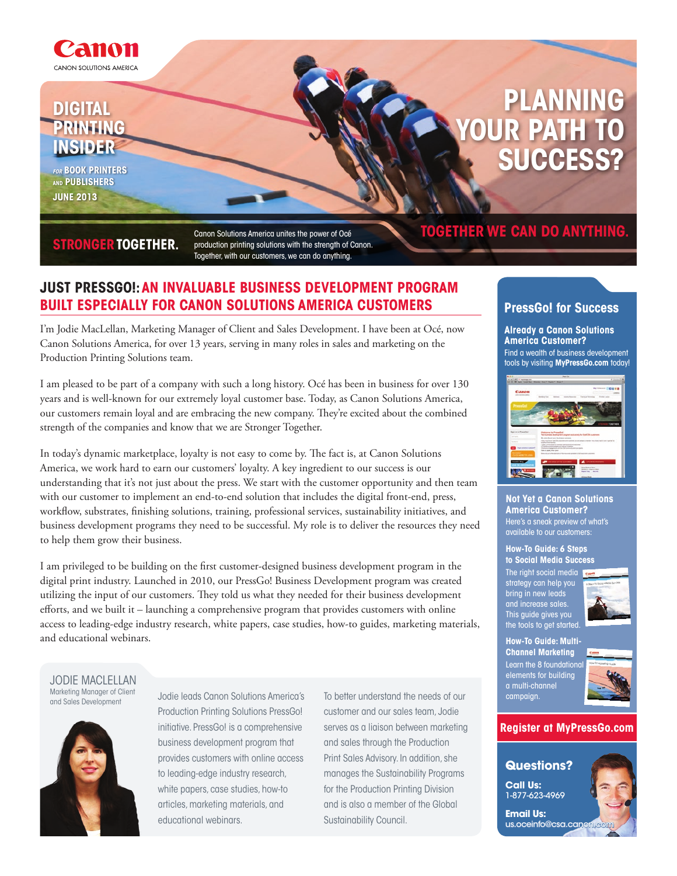

# **digital printing insider**

**for book Printers and publishers June 2013**

# **Planning UR PATH success?**

## **stronger together.**

Canon Solutions America unites the power of Océ production printing solutions with the strength of Canon. Together, with our customers, we can do anything.

## **Just Pressgo!: an invaluable business development program built especially for canon solutions america customers**

I'm Jodie MacLellan, Marketing Manager of Client and Sales Development. I have been at Océ, now Canon Solutions America, for over 13 years, serving in many roles in sales and marketing on the Production Printing Solutions team.

I am pleased to be part of a company with such a long history. Océ has been in business for over 130 years and is well-known for our extremely loyal customer base. Today, as Canon Solutions America, our customers remain loyal and are embracing the new company. They're excited about the combined strength of the companies and know that we are Stronger Together.

In today's dynamic marketplace, loyalty is not easy to come by. The fact is, at Canon Solutions America, we work hard to earn our customers' loyalty. A key ingredient to our success is our understanding that it's not just about the press. We start with the customer opportunity and then team with our customer to implement an end-to-end solution that includes the digital front-end, press, workflow, substrates, finishing solutions, training, professional services, sustainability initiatives, and business development programs they need to be successful. My role is to deliver the resources they need to help them grow their business.

I am privileged to be building on the first customer-designed business development program in the digital print industry. Launched in 2010, our PressGo! Business Development program was created utilizing the input of our customers. They told us what they needed for their business development efforts, and we built it – launching a comprehensive program that provides customers with online access to leading-edge industry research, white papers, case studies, how-to guides, marketing materials, and educational webinars.

Jodie MacLellan Marketing Manager of Client



Production Printing Solutions PressGo! initiative. PressGo! is a comprehensive business development program that provides customers with online access to leading-edge industry research, white papers, case studies, how-to articles, marketing materials, and educational webinars.

manening manager of chern Todie leads Canon Solutions America's To better understand the needs of our and Sales Development customer and our sales team, Jodie serves as a liaison between marketing and sales through the Production Print Sales Advisory. In addition, she manages the Sustainability Programs for the Production Printing Division and is also a member of the Global Sustainability Council.

## **together we can do anything.**

## **PressGo! for Success**

**Already a Canon Solutions America Customer?** Find a wealth of business development tools by visiting **MyPressGo.com** today!



#### **Not Yet a Canon Solutions America Customer?**

Here's a sneak preview of what's available to our customers:

#### **How-To Guide: 6 Steps to Social Media Success**

The right social media strategy can help you bring in new leads and increase sales. This guide gives you the tools to get started.



**How-To Guide: Multi-Channel Marketing** Learn the 8 foundation elements for building a multi-channel campaign.



#### **Register at MyPressGo.com**

## **Questions?**

**Call Us:** 1-877-623-4969

**Email Us:** us.oceinfo@csa.cano